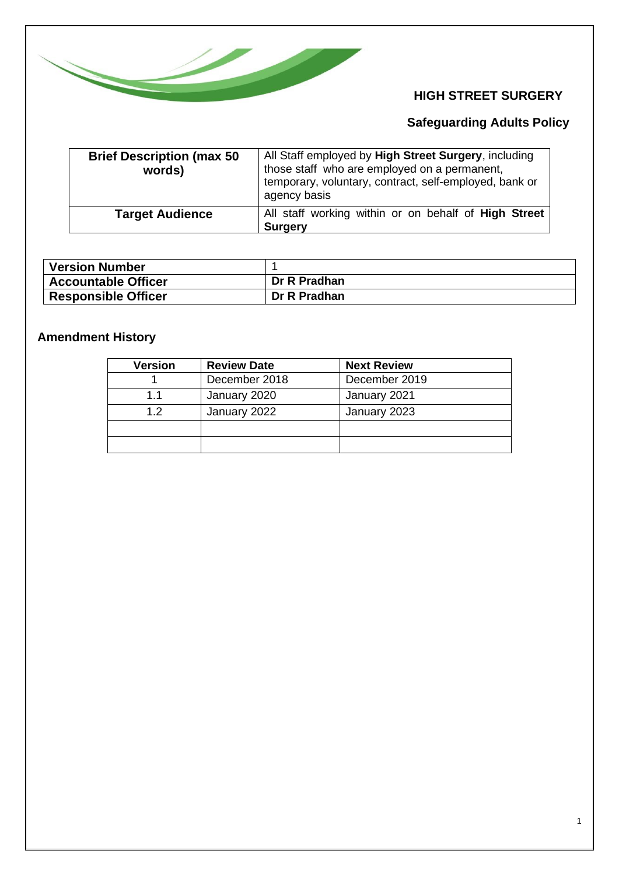

## **HIGH STREET SURGERY**

# **Safeguarding Adults Policy**

| <b>Brief Description (max 50)</b><br>words) | All Staff employed by High Street Surgery, including<br>those staff who are employed on a permanent,<br>temporary, voluntary, contract, self-employed, bank or<br>agency basis |
|---------------------------------------------|--------------------------------------------------------------------------------------------------------------------------------------------------------------------------------|
| <b>Target Audience</b>                      | All staff working within or on behalf of High Street<br><b>Surgery</b>                                                                                                         |

| <b>Version Number</b>      |              |
|----------------------------|--------------|
| <b>Accountable Officer</b> | Dr R Pradhan |
| Responsible Officer        | Dr R Pradhan |

# **Amendment History**

| Version | <b>Review Date</b> | <b>Next Review</b> |
|---------|--------------------|--------------------|
|         | December 2018      | December 2019      |
| 1.1     | January 2020       | January 2021       |
| 12      | January 2022       | January 2023       |
|         |                    |                    |
|         |                    |                    |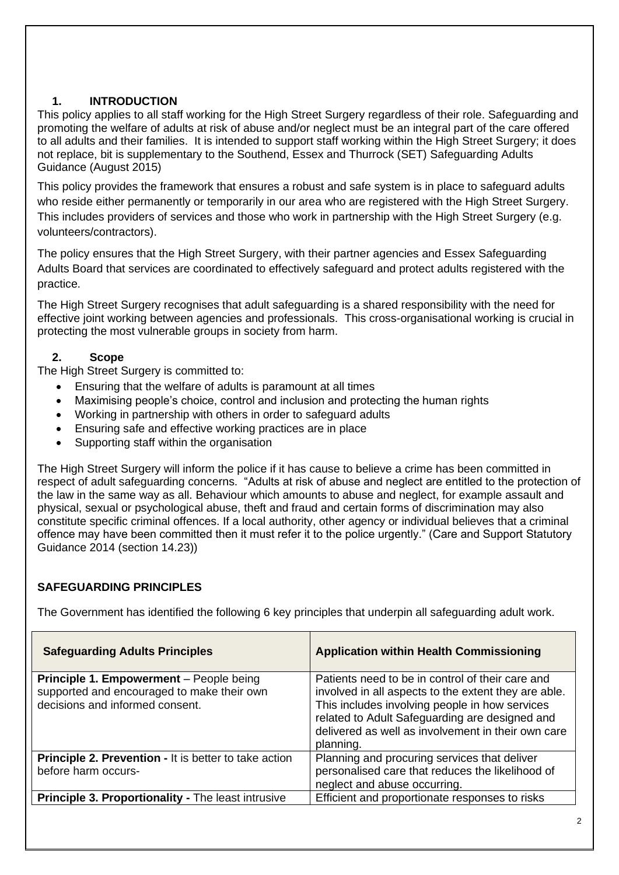## **1. INTRODUCTION**

This policy applies to all staff working for the High Street Surgery regardless of their role. Safeguarding and promoting the welfare of adults at risk of abuse and/or neglect must be an integral part of the care offered to all adults and their families. It is intended to support staff working within the High Street Surgery; it does not replace, bit is supplementary to the Southend, Essex and Thurrock (SET) Safeguarding Adults Guidance (August 2015)

This policy provides the framework that ensures a robust and safe system is in place to safeguard adults who reside either permanently or temporarily in our area who are registered with the High Street Surgery. This includes providers of services and those who work in partnership with the High Street Surgery (e.g. volunteers/contractors).

The policy ensures that the High Street Surgery, with their partner agencies and Essex Safeguarding Adults Board that services are coordinated to effectively safeguard and protect adults registered with the practice.

The High Street Surgery recognises that adult safeguarding is a shared responsibility with the need for effective joint working between agencies and professionals. This cross-organisational working is crucial in protecting the most vulnerable groups in society from harm.

#### **2. Scope**

The High Street Surgery is committed to:

- Ensuring that the welfare of adults is paramount at all times
- Maximising people's choice, control and inclusion and protecting the human rights
- Working in partnership with others in order to safeguard adults
- Ensuring safe and effective working practices are in place
- Supporting staff within the organisation

The High Street Surgery will inform the police if it has cause to believe a crime has been committed in respect of adult safeguarding concerns. "Adults at risk of abuse and neglect are entitled to the protection of the law in the same way as all. Behaviour which amounts to abuse and neglect, for example assault and physical, sexual or psychological abuse, theft and fraud and certain forms of discrimination may also constitute specific criminal offences. If a local authority, other agency or individual believes that a criminal offence may have been committed then it must refer it to the police urgently." (Care and Support Statutory Guidance 2014 (section 14.23))

## **SAFEGUARDING PRINCIPLES**

The Government has identified the following 6 key principles that underpin all safeguarding adult work.

| <b>Safeguarding Adults Principles</b>                                                                                           | <b>Application within Health Commissioning</b>                                                                                                                                                                                                                                  |
|---------------------------------------------------------------------------------------------------------------------------------|---------------------------------------------------------------------------------------------------------------------------------------------------------------------------------------------------------------------------------------------------------------------------------|
| <b>Principle 1. Empowerment</b> – People being<br>supported and encouraged to make their own<br>decisions and informed consent. | Patients need to be in control of their care and<br>involved in all aspects to the extent they are able.<br>This includes involving people in how services<br>related to Adult Safeguarding are designed and<br>delivered as well as involvement in their own care<br>planning. |
| <b>Principle 2. Prevention - It is better to take action</b><br>before harm occurs-                                             | Planning and procuring services that deliver<br>personalised care that reduces the likelihood of<br>neglect and abuse occurring.                                                                                                                                                |
| <b>Principle 3. Proportionality - The least intrusive</b>                                                                       | Efficient and proportionate responses to risks                                                                                                                                                                                                                                  |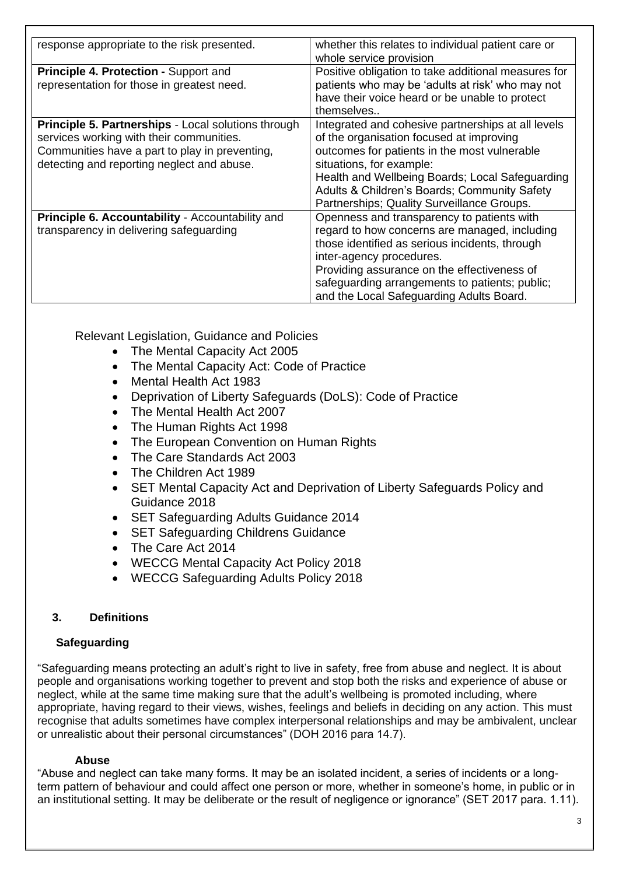| response appropriate to the risk presented.                | whether this relates to individual patient care or  |
|------------------------------------------------------------|-----------------------------------------------------|
|                                                            | whole service provision                             |
| <b>Principle 4. Protection - Support and</b>               | Positive obligation to take additional measures for |
| representation for those in greatest need.                 | patients who may be 'adults at risk' who may not    |
|                                                            | have their voice heard or be unable to protect      |
|                                                            | themselves                                          |
| <b>Principle 5. Partnerships - Local solutions through</b> | Integrated and cohesive partnerships at all levels  |
| services working with their communities.                   | of the organisation focused at improving            |
| Communities have a part to play in preventing,             | outcomes for patients in the most vulnerable        |
| detecting and reporting neglect and abuse.                 | situations, for example:                            |
|                                                            | Health and Wellbeing Boards; Local Safeguarding     |
|                                                            | Adults & Children's Boards; Community Safety        |
|                                                            | Partnerships; Quality Surveillance Groups.          |
| Principle 6. Accountability - Accountability and           | Openness and transparency to patients with          |
| transparency in delivering safeguarding                    | regard to how concerns are managed, including       |
|                                                            | those identified as serious incidents, through      |
|                                                            | inter-agency procedures.                            |
|                                                            | Providing assurance on the effectiveness of         |
|                                                            | safeguarding arrangements to patients; public;      |
|                                                            | and the Local Safeguarding Adults Board.            |

Relevant Legislation, Guidance and Policies

- The Mental Capacity Act 2005
- The Mental Capacity Act: Code of Practice
- Mental Health Act 1983
- Deprivation of Liberty Safeguards (DoLS): Code of Practice
- The Mental Health Act 2007
- The Human Rights Act 1998
- The European Convention on Human Rights
- The Care Standards Act 2003
- The Children Act 1989
- SET Mental Capacity Act and Deprivation of Liberty Safeguards Policy and Guidance 2018
- SET Safeguarding Adults Guidance 2014
- SET Safeguarding Childrens Guidance
- The Care Act 2014
- WECCG Mental Capacity Act Policy 2018
- WECCG Safeguarding Adults Policy 2018

#### **3. Definitions**

#### **Safeguarding**

"Safeguarding means protecting an adult's right to live in safety, free from abuse and neglect. It is about people and organisations working together to prevent and stop both the risks and experience of abuse or neglect, while at the same time making sure that the adult's wellbeing is promoted including, where appropriate, having regard to their views, wishes, feelings and beliefs in deciding on any action. This must recognise that adults sometimes have complex interpersonal relationships and may be ambivalent, unclear or unrealistic about their personal circumstances" (DOH 2016 para 14.7).

#### **Abuse**

"Abuse and neglect can take many forms. It may be an isolated incident, a series of incidents or a longterm pattern of behaviour and could affect one person or more, whether in someone's home, in public or in an institutional setting. It may be deliberate or the result of negligence or ignorance" (SET 2017 para. 1.11).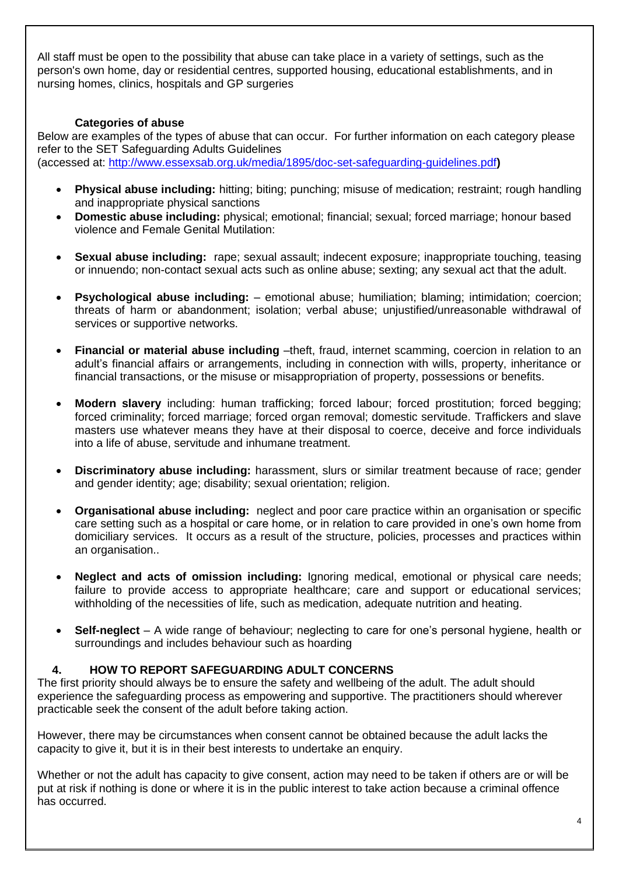All staff must be open to the possibility that abuse can take place in a variety of settings, such as the person's own home, day or residential centres, supported housing, educational establishments, and in nursing homes, clinics, hospitals and GP surgeries

#### **Categories of abuse**

Below are examples of the types of abuse that can occur. For further information on each category please refer to the SET Safeguarding Adults Guidelines (accessed at:<http://www.essexsab.org.uk/media/1895/doc-set-safeguarding-guidelines.pdf>**)**

- **Physical abuse including:** hitting; biting; punching; misuse of medication; restraint; rough handling and inappropriate physical sanctions
- **Domestic abuse including:** physical; emotional; financial; sexual; forced marriage; honour based violence and Female Genital Mutilation:
- **Sexual abuse including:** rape; sexual assault; indecent exposure; inappropriate touching, teasing or innuendo; non-contact sexual acts such as online abuse; sexting; any sexual act that the adult.
- **Psychological abuse including:** emotional abuse; humiliation; blaming; intimidation; coercion; threats of harm or abandonment; isolation; verbal abuse; unjustified/unreasonable withdrawal of services or supportive networks.
- **Financial or material abuse including** –theft, fraud, internet scamming, coercion in relation to an adult's financial affairs or arrangements, including in connection with wills, property, inheritance or financial transactions, or the misuse or misappropriation of property, possessions or benefits.
- **Modern slavery** including: human trafficking; forced labour; forced prostitution; forced begging; forced criminality; forced marriage; forced organ removal; domestic servitude. Traffickers and slave masters use whatever means they have at their disposal to coerce, deceive and force individuals into a life of abuse, servitude and inhumane treatment.
- **Discriminatory abuse including:** harassment, slurs or similar treatment because of race; gender and gender identity; age; disability; sexual orientation; religion.
- **Organisational abuse including:** neglect and poor care practice within an organisation or specific care setting such as a hospital or care home, or in relation to care provided in one's own home from domiciliary services. It occurs as a result of the structure, policies, processes and practices within an organisation..
- **Neglect and acts of omission including:** Ignoring medical, emotional or physical care needs: failure to provide access to appropriate healthcare; care and support or educational services; withholding of the necessities of life, such as medication, adequate nutrition and heating.
- **Self-neglect** A wide range of behaviour; neglecting to care for one's personal hygiene, health or surroundings and includes behaviour such as hoarding

#### **4. HOW TO REPORT SAFEGUARDING ADULT CONCERNS**

The first priority should always be to ensure the safety and wellbeing of the adult. The adult should experience the safeguarding process as empowering and supportive. The practitioners should wherever practicable seek the consent of the adult before taking action.

However, there may be circumstances when consent cannot be obtained because the adult lacks the capacity to give it, but it is in their best interests to undertake an enquiry.

Whether or not the adult has capacity to give consent, action may need to be taken if others are or will be put at risk if nothing is done or where it is in the public interest to take action because a criminal offence has occurred.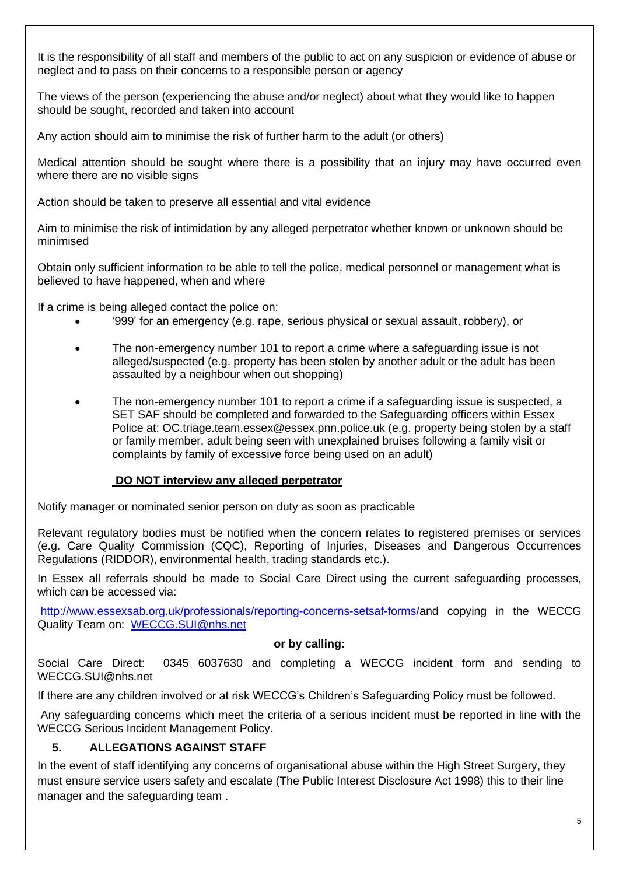It is the responsibility of all staff and members of the public to act on any suspicion or evidence of abuse or neglect and to pass on their concerns to a responsible person or agency

The views of the person (experiencing the abuse and/or neglect) about what they would like to happen should be sought, recorded and taken into account

Any action should aim to minimise the risk of further harm to the adult (or others)

Medical attention should be sought where there is a possibility that an injury may have occurred even where there are no visible signs

Action should be taken to preserve all essential and vital evidence

Aim to minimise the risk of intimidation by any alleged perpetrator whether known or unknown should be minimised

Obtain only sufficient information to be able to tell the police, medical personnel or management what is believed to have happened, when and where

If a crime is being alleged contact the police on:

- '999' for an emergency (e.g. rape, serious physical or sexual assault, robbery), or
- The non-emergency number 101 to report a crime where a safeguarding issue is not alleged/suspected (e.g. property has been stolen by another adult or the adult has been assaulted by a neighbour when out shopping)
- The non-emergency number 101 to report a crime if a safeguarding issue is suspected, a SET SAF should be completed and forwarded to the Safeguarding officers within Essex Police at: OC.triage.team.essex@essex.pnn.police.uk (e.g. property being stolen by a staff or family member, adult being seen with unexplained bruises following a family visit or complaints by family of excessive force being used on an adult)

#### **DO NOT interview any alleged perpetrator**

Notify manager or nominated senior person on duty as soon as practicable

Relevant regulatory bodies must be notified when the concern relates to registered premises or services (e.g. Care Quality Commission (CQC), Reporting of Injuries, Diseases and Dangerous Occurrences Regulations (RIDDOR), environmental health, trading standards etc.).

In Essex all referrals should be made to Social Care Direct using the current safeguarding processes, which can be accessed via:

[http://www.essexsab.org.uk/professionals/reporting-concerns-setsaf-forms/a](http://www.essexsab.org.uk/professionals/reporting-concerns-setsaf-forms/)nd copying in the WECCG Quality Team on: [WECCG.SUI@nhs.net](mailto:WECCG.SUI@nhs.net)

#### **or by calling:**

Social Care Direct: 0345 6037630 and completing a WECCG incident form and sending to WECCG.SUI@nhs.net

If there are any children involved or at risk WECCG's Children's Safeguarding Policy must be followed.

Any safeguarding concerns which meet the criteria of a serious incident must be reported in line with the WECCG Serious Incident Management Policy.

## **5. ALLEGATIONS AGAINST STAFF**

In the event of staff identifying any concerns of organisational abuse within the High Street Surgery, they must ensure service users safety and escalate (The Public Interest Disclosure Act 1998) this to their line manager and the safeguarding team .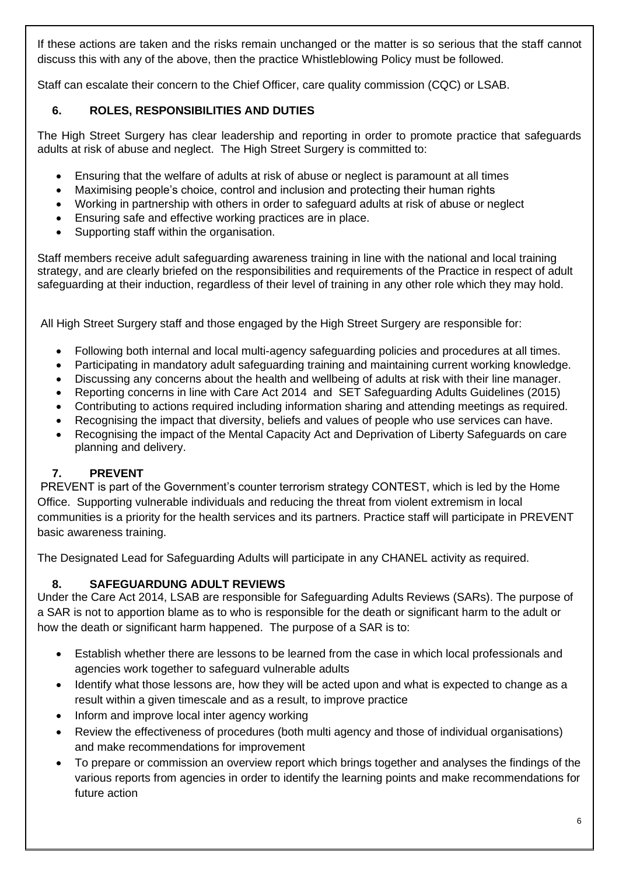If these actions are taken and the risks remain unchanged or the matter is so serious that the staff cannot discuss this with any of the above, then the practice Whistleblowing Policy must be followed.

Staff can escalate their concern to the Chief Officer, care quality commission (CQC) or LSAB.

## **6. ROLES, RESPONSIBILITIES AND DUTIES**

The High Street Surgery has clear leadership and reporting in order to promote practice that safeguards adults at risk of abuse and neglect. The High Street Surgery is committed to:

- Ensuring that the welfare of adults at risk of abuse or neglect is paramount at all times
- Maximising people's choice, control and inclusion and protecting their human rights
- Working in partnership with others in order to safeguard adults at risk of abuse or neglect
- Ensuring safe and effective working practices are in place.
- Supporting staff within the organisation.

Staff members receive adult safeguarding awareness training in line with the national and local training strategy, and are clearly briefed on the responsibilities and requirements of the Practice in respect of adult safeguarding at their induction, regardless of their level of training in any other role which they may hold.

All High Street Surgery staff and those engaged by the High Street Surgery are responsible for:

- Following both internal and local multi-agency safeguarding policies and procedures at all times.
- Participating in mandatory adult safeguarding training and maintaining current working knowledge.
- Discussing any concerns about the health and wellbeing of adults at risk with their line manager.
- Reporting concerns in line with Care Act 2014 and SET Safeguarding Adults Guidelines (2015)
- Contributing to actions required including information sharing and attending meetings as required.
- Recognising the impact that diversity, beliefs and values of people who use services can have.
- Recognising the impact of the Mental Capacity Act and Deprivation of Liberty Safeguards on care planning and delivery.

## **7. PREVENT**

PREVENT is part of the Government's counter terrorism strategy CONTEST, which is led by the Home Office. Supporting vulnerable individuals and reducing the threat from violent extremism in local communities is a priority for the health services and its partners. Practice staff will participate in PREVENT basic awareness training.

The Designated Lead for Safeguarding Adults will participate in any CHANEL activity as required.

## **8. SAFEGUARDUNG ADULT REVIEWS**

Under the Care Act 2014, LSAB are responsible for Safeguarding Adults Reviews (SARs). The purpose of a SAR is not to apportion blame as to who is responsible for the death or significant harm to the adult or how the death or significant harm happened. The purpose of a SAR is to:

- Establish whether there are lessons to be learned from the case in which local professionals and agencies work together to safeguard vulnerable adults
- Identify what those lessons are, how they will be acted upon and what is expected to change as a result within a given timescale and as a result, to improve practice
- Inform and improve local inter agency working
- Review the effectiveness of procedures (both multi agency and those of individual organisations) and make recommendations for improvement
- To prepare or commission an overview report which brings together and analyses the findings of the various reports from agencies in order to identify the learning points and make recommendations for future action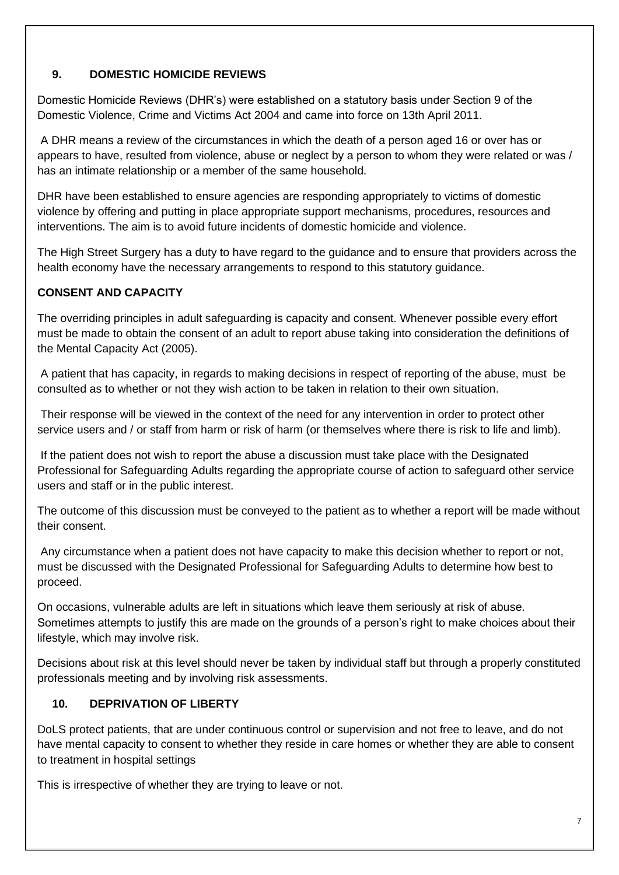## **9. DOMESTIC HOMICIDE REVIEWS**

Domestic Homicide Reviews (DHR's) were established on a statutory basis under Section 9 of the Domestic Violence, Crime and Victims Act 2004 and came into force on 13th April 2011.

A DHR means a review of the circumstances in which the death of a person aged 16 or over has or appears to have, resulted from violence, abuse or neglect by a person to whom they were related or was / has an intimate relationship or a member of the same household.

DHR have been established to ensure agencies are responding appropriately to victims of domestic violence by offering and putting in place appropriate support mechanisms, procedures, resources and interventions. The aim is to avoid future incidents of domestic homicide and violence.

The High Street Surgery has a duty to have regard to the guidance and to ensure that providers across the health economy have the necessary arrangements to respond to this statutory guidance.

## **CONSENT AND CAPACITY**

The overriding principles in adult safeguarding is capacity and consent. Whenever possible every effort must be made to obtain the consent of an adult to report abuse taking into consideration the definitions of the Mental Capacity Act (2005).

A patient that has capacity, in regards to making decisions in respect of reporting of the abuse, must be consulted as to whether or not they wish action to be taken in relation to their own situation.

Their response will be viewed in the context of the need for any intervention in order to protect other service users and / or staff from harm or risk of harm (or themselves where there is risk to life and limb).

If the patient does not wish to report the abuse a discussion must take place with the Designated Professional for Safeguarding Adults regarding the appropriate course of action to safeguard other service users and staff or in the public interest.

The outcome of this discussion must be conveyed to the patient as to whether a report will be made without their consent.

Any circumstance when a patient does not have capacity to make this decision whether to report or not, must be discussed with the Designated Professional for Safeguarding Adults to determine how best to proceed.

On occasions, vulnerable adults are left in situations which leave them seriously at risk of abuse. Sometimes attempts to justify this are made on the grounds of a person's right to make choices about their lifestyle, which may involve risk.

Decisions about risk at this level should never be taken by individual staff but through a properly constituted professionals meeting and by involving risk assessments.

## **10. DEPRIVATION OF LIBERTY**

DoLS protect patients, that are under continuous control or supervision and not free to leave, and do not have mental capacity to consent to whether they reside in care homes or whether they are able to consent to treatment in hospital settings

This is irrespective of whether they are trying to leave or not.